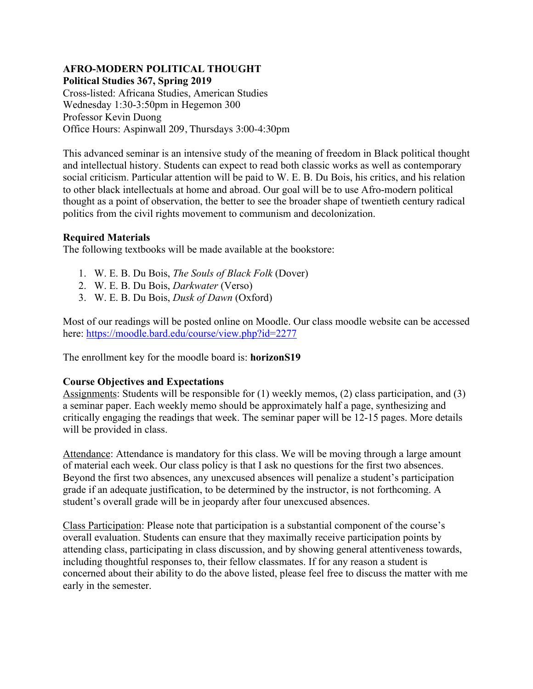## **AFRO-MODERN POLITICAL THOUGHT Political Studies 367, Spring 2019**

Cross-listed: Africana Studies, American Studies Wednesday 1:30-3:50pm in Hegemon 300 Professor Kevin Duong Office Hours: Aspinwall 209, Thursdays 3:00-4:30pm

This advanced seminar is an intensive study of the meaning of freedom in Black political thought and intellectual history. Students can expect to read both classic works as well as contemporary social criticism. Particular attention will be paid to W. E. B. Du Bois, his critics, and his relation to other black intellectuals at home and abroad. Our goal will be to use Afro-modern political thought as a point of observation, the better to see the broader shape of twentieth century radical politics from the civil rights movement to communism and decolonization.

# **Required Materials**

The following textbooks will be made available at the bookstore:

- 1. W. E. B. Du Bois, *The Souls of Black Folk* (Dover)
- 2. W. E. B. Du Bois, *Darkwater* (Verso)
- 3. W. E. B. Du Bois, *Dusk of Dawn* (Oxford)

Most of our readings will be posted online on Moodle. Our class moodle website can be accessed here: https://moodle.bard.edu/course/view.php?id=2277

The enrollment key for the moodle board is: **horizonS19**

# **Course Objectives and Expectations**

Assignments: Students will be responsible for (1) weekly memos, (2) class participation, and (3) a seminar paper. Each weekly memo should be approximately half a page, synthesizing and critically engaging the readings that week. The seminar paper will be 12-15 pages. More details will be provided in class.

Attendance: Attendance is mandatory for this class. We will be moving through a large amount of material each week. Our class policy is that I ask no questions for the first two absences. Beyond the first two absences, any unexcused absences will penalize a student's participation grade if an adequate justification, to be determined by the instructor, is not forthcoming. A student's overall grade will be in jeopardy after four unexcused absences.

Class Participation: Please note that participation is a substantial component of the course's overall evaluation. Students can ensure that they maximally receive participation points by attending class, participating in class discussion, and by showing general attentiveness towards, including thoughtful responses to, their fellow classmates. If for any reason a student is concerned about their ability to do the above listed, please feel free to discuss the matter with me early in the semester.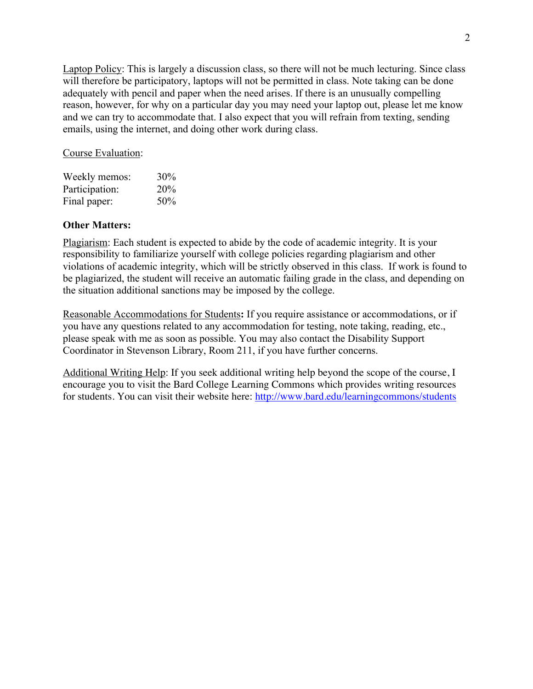Laptop Policy: This is largely a discussion class, so there will not be much lecturing. Since class will therefore be participatory, laptops will not be permitted in class. Note taking can be done adequately with pencil and paper when the need arises. If there is an unusually compelling reason, however, for why on a particular day you may need your laptop out, please let me know and we can try to accommodate that. I also expect that you will refrain from texting, sending emails, using the internet, and doing other work during class.

Course Evaluation:

| Weekly memos:  | 30% |
|----------------|-----|
| Participation: | 20% |
| Final paper:   | 50% |

#### **Other Matters:**

Plagiarism: Each student is expected to abide by the code of academic integrity. It is your responsibility to familiarize yourself with college policies regarding plagiarism and other violations of academic integrity, which will be strictly observed in this class. If work is found to be plagiarized, the student will receive an automatic failing grade in the class, and depending on the situation additional sanctions may be imposed by the college.

Reasonable Accommodations for Students**:** If you require assistance or accommodations, or if you have any questions related to any accommodation for testing, note taking, reading, etc., please speak with me as soon as possible. You may also contact the Disability Support Coordinator in Stevenson Library, Room 211, if you have further concerns.

Additional Writing Help: If you seek additional writing help beyond the scope of the course, I encourage you to visit the Bard College Learning Commons which provides writing resources for students. You can visit their website here: http://www.bard.edu/learningcommons/students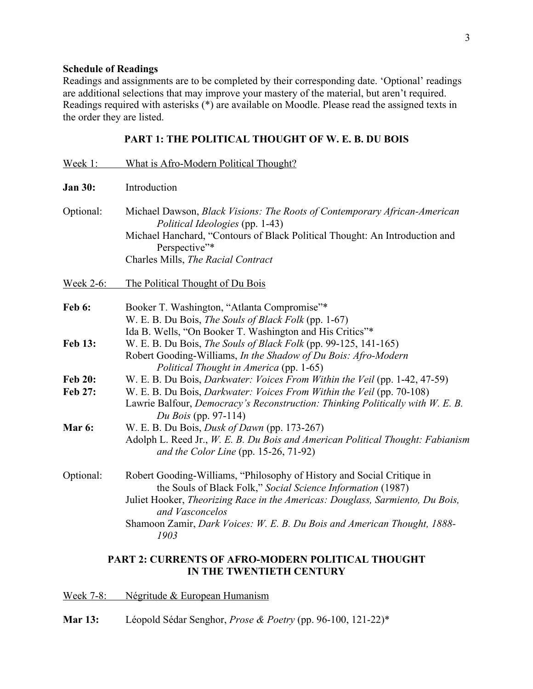## **Schedule of Readings**

Readings and assignments are to be completed by their corresponding date. 'Optional' readings are additional selections that may improve your mastery of the material, but aren't required. Readings required with asterisks (\*) are available on Moodle. Please read the assigned texts in the order they are listed.

# **PART 1: THE POLITICAL THOUGHT OF W. E. B. DU BOIS**

| Week 1:          | What is Afro-Modern Political Thought?                                                                                                                                                                                                                                                                                        |
|------------------|-------------------------------------------------------------------------------------------------------------------------------------------------------------------------------------------------------------------------------------------------------------------------------------------------------------------------------|
| <b>Jan 30:</b>   | Introduction                                                                                                                                                                                                                                                                                                                  |
| Optional:        | Michael Dawson, Black Visions: The Roots of Contemporary African-American<br>Political Ideologies (pp. 1-43)<br>Michael Hanchard, "Contours of Black Political Thought: An Introduction and<br>Perspective"*<br>Charles Mills, The Racial Contract                                                                            |
| <b>Week 2-6:</b> | The Political Thought of Du Bois                                                                                                                                                                                                                                                                                              |
| <b>Feb 6:</b>    | Booker T. Washington, "Atlanta Compromise"*<br>W. E. B. Du Bois, The Souls of Black Folk (pp. 1-67)<br>Ida B. Wells, "On Booker T. Washington and His Critics"*                                                                                                                                                               |
| <b>Feb 13:</b>   | W. E. B. Du Bois, <i>The Souls of Black Folk</i> (pp. 99-125, 141-165)<br>Robert Gooding-Williams, In the Shadow of Du Bois: Afro-Modern<br>Political Thought in America (pp. 1-65)                                                                                                                                           |
| <b>Feb 20:</b>   | W. E. B. Du Bois, <i>Darkwater: Voices From Within the Veil</i> (pp. 1-42, 47-59)                                                                                                                                                                                                                                             |
| Feb 27:          | W. E. B. Du Bois, <i>Darkwater: Voices From Within the Veil</i> (pp. 70-108)<br>Lawrie Balfour, Democracy's Reconstruction: Thinking Politically with W. E. B.<br>Du Bois (pp. 97-114)                                                                                                                                        |
| Mar 6:           | W. E. B. Du Bois, <i>Dusk of Dawn</i> (pp. 173-267)<br>Adolph L. Reed Jr., W. E. B. Du Bois and American Political Thought: Fabianism<br>and the Color Line (pp. 15-26, 71-92)                                                                                                                                                |
| Optional:        | Robert Gooding-Williams, "Philosophy of History and Social Critique in<br>the Souls of Black Folk," Social Science Information (1987)<br>Juliet Hooker, Theorizing Race in the Americas: Douglass, Sarmiento, Du Bois,<br>and Vasconcelos<br>Shamoon Zamir, Dark Voices: W. E. B. Du Bois and American Thought, 1888-<br>1903 |
|                  | <b>PART 2: CURRENTS OF AFRO-MODERN POLITICAL THOUGHT</b>                                                                                                                                                                                                                                                                      |

# **IN THE TWENTIETH CENTURY**

Week 7-8: Négritude & European Humanism

**Mar 13:** Léopold Sédar Senghor, *Prose & Poetry* (pp. 96-100, 121-22)\*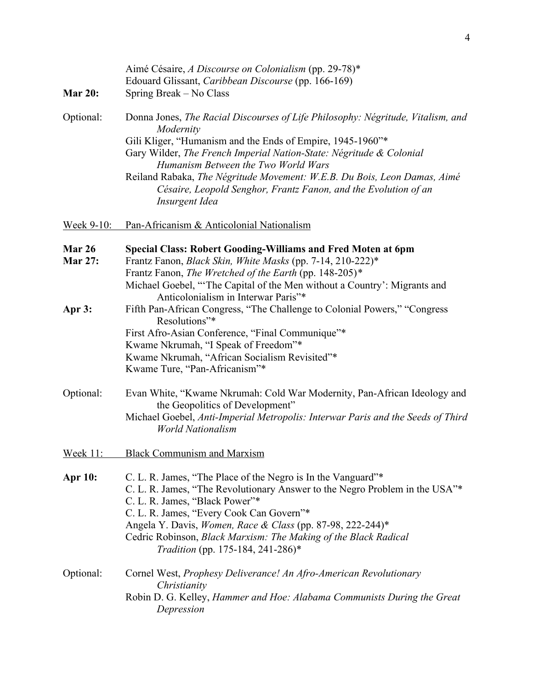| <b>Mar 20:</b>           | Aimé Césaire, A Discourse on Colonialism (pp. 29-78)*<br>Edouard Glissant, Caribbean Discourse (pp. 166-169)<br>Spring Break – No Class                                                                                                                                                                                                                                                                                                   |
|--------------------------|-------------------------------------------------------------------------------------------------------------------------------------------------------------------------------------------------------------------------------------------------------------------------------------------------------------------------------------------------------------------------------------------------------------------------------------------|
| Optional:                | Donna Jones, The Racial Discourses of Life Philosophy: Négritude, Vitalism, and<br>Modernity<br>Gili Kliger, "Humanism and the Ends of Empire, 1945-1960"*<br>Gary Wilder, The French Imperial Nation-State: Négritude & Colonial<br>Humanism Between the Two World Wars<br>Reiland Rabaka, The Négritude Movement: W.E.B. Du Bois, Leon Damas, Aimé<br>Césaire, Leopold Senghor, Frantz Fanon, and the Evolution of an<br>Insurgent Idea |
| Week 9-10:               | Pan-Africanism & Anticolonial Nationalism                                                                                                                                                                                                                                                                                                                                                                                                 |
| Mar 26<br><b>Mar 27:</b> | <b>Special Class: Robert Gooding-Williams and Fred Moten at 6pm</b><br>Frantz Fanon, Black Skin, White Masks (pp. 7-14, 210-222)*<br>Frantz Fanon, The Wretched of the Earth (pp. 148-205)*<br>Michael Goebel, "The Capital of the Men without a Country': Migrants and<br>Anticolonialism in Interwar Paris"*                                                                                                                            |
| Apr 3:                   | Fifth Pan-African Congress, "The Challenge to Colonial Powers," "Congress<br>Resolutions"*<br>First Afro-Asian Conference, "Final Communique"*<br>Kwame Nkrumah, "I Speak of Freedom"*<br>Kwame Nkrumah, "African Socialism Revisited"*<br>Kwame Ture, "Pan-Africanism"*                                                                                                                                                                  |
| Optional:                | Evan White, "Kwame Nkrumah: Cold War Modernity, Pan-African Ideology and<br>the Geopolitics of Development"<br>Michael Goebel, Anti-Imperial Metropolis: Interwar Paris and the Seeds of Third<br><b>World Nationalism</b>                                                                                                                                                                                                                |
| <b>Week 11:</b>          | <b>Black Communism and Marxism</b>                                                                                                                                                                                                                                                                                                                                                                                                        |
| <b>Apr 10:</b>           | C. L. R. James, "The Place of the Negro is In the Vanguard"*<br>C. L. R. James, "The Revolutionary Answer to the Negro Problem in the USA"*<br>C. L. R. James, "Black Power"*<br>C. L. R. James, "Every Cook Can Govern"*<br>Angela Y. Davis, Women, Race & Class (pp. 87-98, 222-244)*<br>Cedric Robinson, Black Marxism: The Making of the Black Radical<br><i>Tradition</i> (pp. 175-184, 241-286)*                                    |
| Optional:                | Cornel West, Prophesy Deliverance! An Afro-American Revolutionary<br>Christianity<br>Robin D. G. Kelley, Hammer and Hoe: Alabama Communists During the Great<br>Depression                                                                                                                                                                                                                                                                |